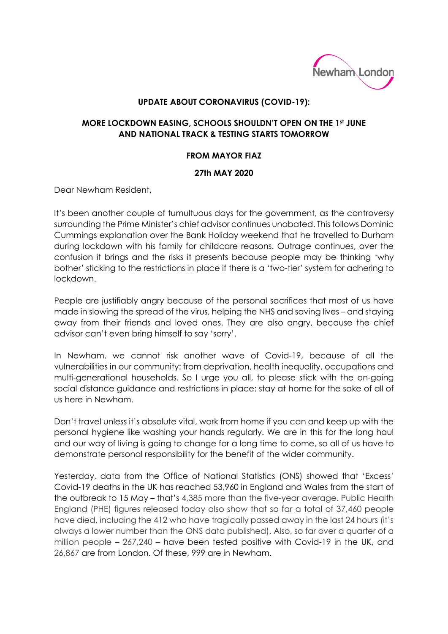

## **UPDATE ABOUT CORONAVIRUS (COVID-19):**

## **MORE LOCKDOWN EASING, SCHOOLS SHOULDN'T OPEN ON THE 1st JUNE AND NATIONAL TRACK & TESTING STARTS TOMORROW**

## **FROM MAYOR FIAZ**

## **27th MAY 2020**

Dear Newham Resident,

It's been another couple of tumultuous days for the government, as the controversy surrounding the Prime Minister's chief advisor continues unabated. This follows Dominic Cummings explanation over the Bank Holiday weekend that he travelled to Durham during lockdown with his family for childcare reasons. Outrage continues, over the confusion it brings and the risks it presents because people may be thinking 'why bother' sticking to the restrictions in place if there is a 'two-tier' system for adhering to lockdown.

People are justifiably angry because of the personal sacrifices that most of us have made in slowing the spread of the virus, helping the NHS and saving lives – and staying away from their friends and loved ones. They are also angry, because the chief advisor can't even bring himself to say 'sorry'.

In Newham, we cannot risk another wave of Covid-19, because of all the vulnerabilities in our community: from deprivation, health inequality, occupations and multi-generational households. So I urge you all, to please stick with the on-going social distance guidance and restrictions in place: stay at home for the sake of all of us here in Newham.

Don't travel unless it's absolute vital, work from home if you can and keep up with the personal hygiene like washing your hands regularly. We are in this for the long haul and our way of living is going to change for a long time to come, so all of us have to demonstrate personal responsibility for the benefit of the wider community.

Yesterday, data from the Office of National Statistics (ONS) showed that 'Excess' Covid-19 deaths in the UK has reached 53,960 in England and Wales from the start of the outbreak to 15 May – that's 4,385 more than the five-year average. Public Health England (PHE) figures released today also show that so far a total of 37,460 people have died, including the 412 who have tragically passed away in the last 24 hours (it's always a lower number than the ONS data published). Also, so far over a quarter of a million people – 267,240 – have been tested positive with Covid-19 in the UK, and 26,867 are from London. Of these, 999 are in Newham.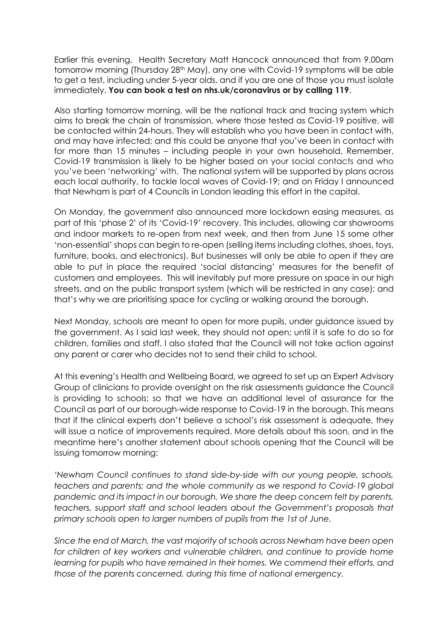Earlier this evening, Health Secretary Matt Hancock announced that from 9.00am tomorrow morning (Thursday 28<sup>th</sup> May), any one with Covid-19 symptoms will be able to get a test, including under 5-year olds, and if you are one of those you must isolate immediately. **You can book a test on nhs.uk/coronavirus or by calling 119**.

Also starting tomorrow morning, will be the national track and tracing system which aims to break the chain of transmission, where those tested as Covid-19 positive, will be contacted within 24-hours. They will establish who you have been in contact with, and may have infected; and this could be anyone that you've been in contact with for more than 15 minutes – including people in your own household. Remember, Covid-19 transmission is likely to be higher based on your social contacts and who you've been 'networking' with. The national system will be supported by plans across each local authority, to tackle local waves of Covid-19; and on Friday I announced that Newham is part of 4 Councils in London leading this effort in the capital.

On Monday, the government also announced more lockdown easing measures, as part of this 'phase 2' of its 'Covid-19' recovery. This includes, allowing car showrooms and indoor markets to re-open from next week, and then from June 15 some other 'non-essential' shops can begin to re-open (selling items including clothes, shoes, toys, furniture, books, and electronics). But businesses will only be able to open if they are able to put in place the required 'social distancing' measures for the benefit of customers and employees. This will inevitably put more pressure on space in our high streets, and on the public transport system (which will be restricted in any case); and that's why we are prioritising space for cycling or walking around the borough.

Next Monday, schools are meant to open for more pupils, under guidance issued by the government. As I said last week, they should not open; until it is safe to do so for children, families and staff. I also stated that the Council will not take action against any parent or carer who decides not to send their child to school.

At this evening's Health and Wellbeing Board, we agreed to set up an Expert Advisory Group of clinicians to provide oversight on the risk assessments guidance the Council is providing to schools; so that we have an additional level of assurance for the Council as part of our borough-wide response to Covid-19 in the borough. This means that if the clinical experts don't believe a school's risk assessment is adequate, they will issue a notice of improvements required. More details about this soon, and in the meantime here's another statement about schools opening that the Council will be issuing tomorrow morning:

*'Newham Council continues to stand side-by-side with our young people, schools, teachers and parents; and the whole community as we respond to Covid-19 global pandemic and its impact in our borough. We share the deep concern felt by parents, teachers, support staff and school leaders about the Government's proposals that primary schools open to larger numbers of pupils from the 1st of June.*

*Since the end of March, the vast majority of schools across Newham have been open*  for children of key workers and vulnerable children, and continue to provide home *learning for pupils who have remained in their homes. We commend their efforts, and those of the parents concerned, during this time of national emergency.*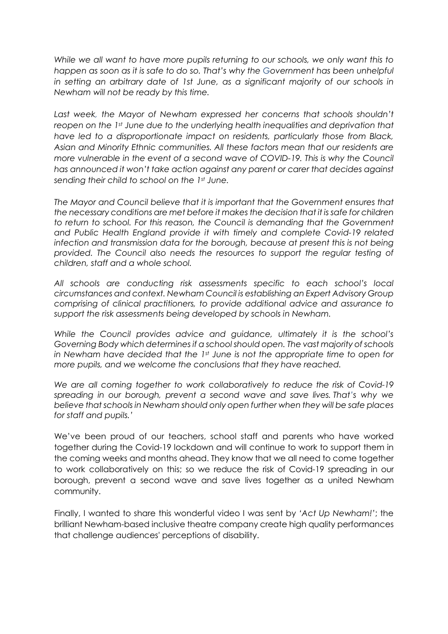*While we all want to have more pupils returning to our schools, we only want this to happen as soon as it is safe to do so. That's why the Government has been unhelpful in setting an arbitrary date of 1st June, as a significant majority of our schools in Newham will not be ready by this time.* 

*Last week, the Mayor of Newham expressed her concerns that schools shouldn't reopen on the 1st June due to the underlying health inequalities and deprivation that have led to a disproportionate impact on residents, particularly those from Black, Asian and Minority Ethnic communities. All these factors mean that our residents are more vulnerable in the event of a second wave of COVID-19. This is why the Council has announced it won't take action against any parent or carer that decides against sending their child to school on the 1st June.* 

*The Mayor and Council believe that it is important that the Government ensures that the necessary conditions are met before it makes the decision that it is safe for children*  to return to school. For this reason, the Council is demanding that the Government *and Public Health England provide it with timely and complete Covid-19 related*  infection and transmission data for the borough, because at present this is not being *provided. The Council also needs the resources to support the regular testing of children, staff and a whole school.*

All schools are conducting risk assessments specific to each school's local *circumstances and context. Newham Council is establishing an Expert Advisory Group comprising of clinical practitioners, to provide additional advice and assurance to support the risk assessments being developed by schools in Newham.* 

*While the Council provides advice and guidance, ultimately it is the school's Governing Body which determines if a school should open. The vast majority of schools in Newham have decided that the 1st June is not the appropriate time to open for more pupils, and we welcome the conclusions that they have reached.* 

*We are all coming together to work collaboratively to reduce the risk of Covid-19 spreading in our borough, prevent a second wave and save lives. That's why we believe that schools in Newham should only open further when they will be safe places for staff and pupils.'*

We've been proud of our teachers, school staff and parents who have worked together during the Covid-19 lockdown and will continue to work to support them in the coming weeks and months ahead. They know that we all need to come together to work collaboratively on this; so we reduce the risk of Covid-19 spreading in our borough, prevent a second wave and save lives together as a united Newham community.

Finally, I wanted to share this wonderful video I was sent by *'Act Up Newham!'*; the brilliant Newham-based inclusive theatre company create high quality performances that challenge audiences' perceptions of disability.